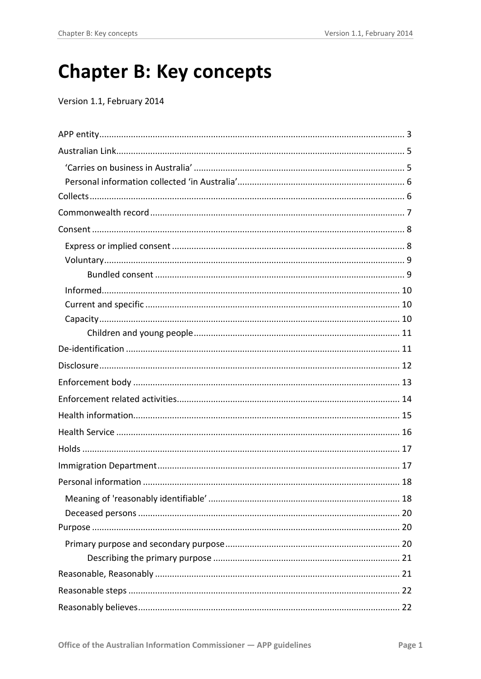# **Chapter B: Key concepts**

Version 1.1, February 2014

<span id="page-0-0"></span>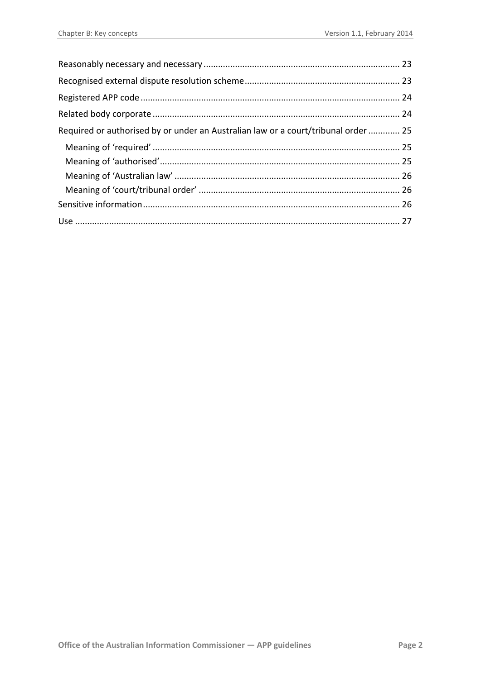| Required or authorised by or under an Australian law or a court/tribunal order  25 |  |
|------------------------------------------------------------------------------------|--|
|                                                                                    |  |
|                                                                                    |  |
|                                                                                    |  |
|                                                                                    |  |
|                                                                                    |  |
|                                                                                    |  |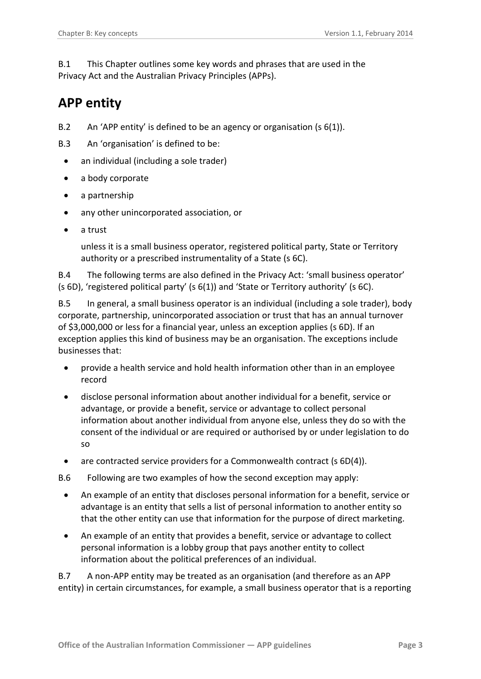B.1 This Chapter outlines some key words and phrases that are used in the Privacy Act and the Australian Privacy Principles (APPs).

# <span id="page-2-0"></span>**APP entity**

- B.2 An 'APP entity' is defined to be an agency or organisation (s 6(1)).
- B.3 An 'organisation' is defined to be:
	- an individual (including a sole trader)
	- a body corporate
	- a partnership
	- any other unincorporated association, or
	- a trust

unless it is a small business operator, registered political party, State or Territory authority or a prescribed instrumentality of a State (s 6C).

B.4 The following terms are also defined in the Privacy Act: 'small business operator' (s 6D), 'registered political party' (s 6(1)) and 'State or Territory authority' (s 6C).

B.5 In general, a small business operator is an individual (including a sole trader), body corporate, partnership, unincorporated association or trust that has an annual turnover of \$3,000,000 or less for a financial year, unless an exception applies (s 6D). If an exception applies this kind of business may be an organisation. The exceptions include businesses that:

- provide a health service and hold health information other than in an employee record
- disclose personal information about another individual for a benefit, service or advantage, or provide a benefit, service or advantage to collect personal information about another individual from anyone else, unless they do so with the consent of the individual or are required or authorised by or under legislation to do so
- are contracted service providers for a Commonwealth contract (s 6D(4)).
- B.6 Following are two examples of how the second exception may apply:
	- An example of an entity that discloses personal information for a benefit, service or advantage is an entity that sells a list of personal information to another entity so that the other entity can use that information for the purpose of direct marketing.
	- An example of an entity that provides a benefit, service or advantage to collect personal information is a lobby group that pays another entity to collect information about the political preferences of an individual.

B.7 A non-APP entity may be treated as an organisation (and therefore as an APP entity) in certain circumstances, for example, a small business operator that is a reporting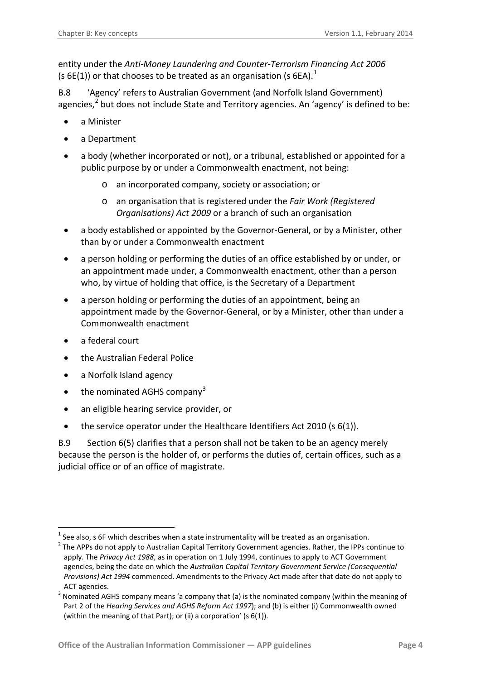entity under the *Anti-Money Laundering and Counter-Terrorism Financing Act 2006* (s 6E([1](#page-0-0))) or that chooses to be treated as an organisation (s 6EA).<sup>1</sup>

B.8 'Agency' refers to Australian Government (and Norfolk Island Government) agencies,<sup>[2](#page-3-0)</sup> but does not include State and Territory agencies. An 'agency' is defined to be:

- a Minister
- a Department
- a body (whether incorporated or not), or a tribunal, established or appointed for a public purpose by or under a Commonwealth enactment, not being:
	- o an incorporated company, society or association; or
	- o an organisation that is registered under the *Fair Work (Registered Organisations) Act 2009* or a branch of such an organisation
- a body established or appointed by the Governor-General, or by a Minister, other than by or under a Commonwealth enactment
- a person holding or performing the duties of an office established by or under, or an appointment made under, a Commonwealth enactment, other than a person who, by virtue of holding that office, is the Secretary of a Department
- a person holding or performing the duties of an appointment, being an appointment made by the Governor-General, or by a Minister, other than under a Commonwealth enactment
- a federal court

1

- the Australian Federal Police
- a Norfolk Island agency
- the nominated AGHS company<sup>[3](#page-3-1)</sup>
- an eligible hearing service provider, or
- the service operator under the Healthcare Identifiers Act 2010 (s 6(1)).

B.9 Section 6(5) clarifies that a person shall not be taken to be an agency merely because the person is the holder of, or performs the duties of, certain offices, such as a judicial office or of an office of magistrate.

See also, s 6F which describes when a state instrumentality will be treated as an organisation.

<span id="page-3-0"></span> $2$  The APPs do not apply to Australian Capital Territory Government agencies. Rather, the IPPs continue to apply. The *Privacy Act 1988*, as in operation on 1 July 1994, continues to apply to ACT Government agencies, being the date on which the *Australian Capital Territory Government Service (Consequential Provisions) Act 1994* commenced. Amendments to the Privacy Act made after that date do not apply to ACT agencies.

<span id="page-3-1"></span><sup>&</sup>lt;sup>3</sup> Nominated AGHS company means 'a company that (a) is the nominated company (within the meaning of Part 2 of the *Hearing Services and AGHS Reform Act 1997*); and (b) is either (i) Commonwealth owned (within the meaning of that Part); or (ii) a corporation' (s 6(1)).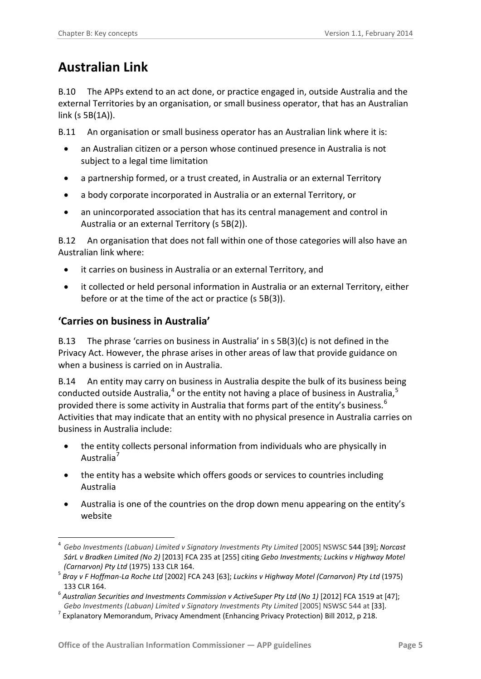# <span id="page-4-0"></span>**Australian Link**

B.10 The APPs extend to an act done, or practice engaged in, outside Australia and the external Territories by an organisation, or small business operator, that has an Australian link (s 5B(1A)).

B.11 An organisation or small business operator has an Australian link where it is:

- an Australian citizen or a person whose continued presence in Australia is not subject to a legal time limitation
- a partnership formed, or a trust created, in Australia or an external Territory
- a body corporate incorporated in Australia or an external Territory, or
- an unincorporated association that has its central management and control in Australia or an external Territory (s 5B(2)).

B.12 An organisation that does not fall within one of those categories will also have an Australian link where:

- it carries on business in Australia or an external Territory, and
- it collected or held personal information in Australia or an external Territory, either before or at the time of the act or practice (s 5B(3)).

#### <span id="page-4-1"></span>**'Carries on business in Australia'**

-

B.13 The phrase 'carries on business in Australia' in s 5B(3)(c) is not defined in the Privacy Act. However, the phrase arises in other areas of law that provide guidance on when a business is carried on in Australia.

B.14 An entity may carry on business in Australia despite the bulk of its business being conducted outside Australia, $^4$  $^4$  or the entity not having a place of business in Australia, $^5$  $^5$ provided there is some activity in Australia that forms part of the entity's business.<sup>[6](#page-4-3)</sup> Activities that may indicate that an entity with no physical presence in Australia carries on business in Australia include:

- the entity collects personal information from individuals who are physically in Australia<sup>[7](#page-4-4)</sup>
- the entity has a website which offers goods or services to countries including Australia
- Australia is one of the countries on the drop down menu appearing on the entity's website

<sup>4</sup> *Gebo Investments (Labuan) Limited v Signatory Investments Pty Limited* [2005] NSWSC 544 [39]; *Norcast SárL v Bradken Limited (No 2)* [2013] FCA 235 at [255] citing *Gebo Investments; Luckins v Highway Motel* 

<span id="page-4-2"></span>*<sup>(</sup>Carnarvon) Pty Ltd* (1975) 133 CLR 164. <sup>5</sup> *Bray v F Hoffman-La Roche Ltd* [2002] FCA 243 [63]; *Luckins v Highway Motel (Carnarvon) Pty Ltd* (1975) 133 CLR 164.

<span id="page-4-5"></span><span id="page-4-3"></span><sup>6</sup> *Australian Securities and Investments Commission v ActiveSuper Pty Ltd* (*No 1)* [2012] FCA 1519 at [47];

<span id="page-4-4"></span>*Gebo Investments (Labuan) Limited v Signatory Investments Pty Limited* [2005] NSWSC 544 at [33].<br><sup>7</sup> Explanatory Memorandum, Privacy Amendment (Enhancing Privacy Protection) Bill 2012, p 218.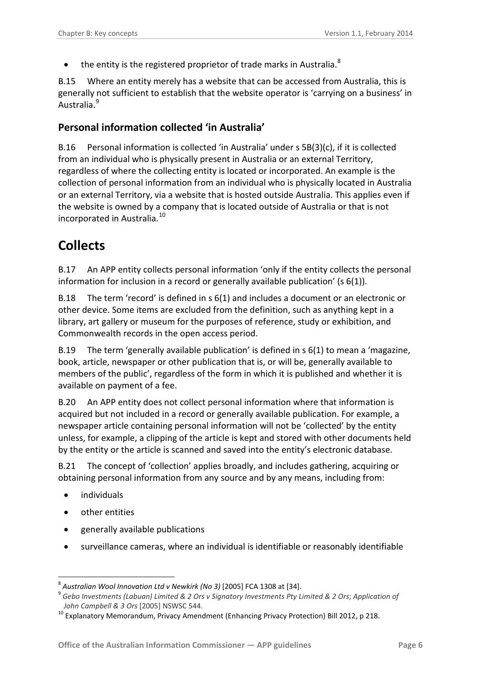$\bullet$  the entity is the registered proprietor of trade marks in Australia.<sup>[8](#page-4-5)</sup>

B.15 Where an entity merely has a website that can be accessed from Australia, this is generally not sufficient to establish that the website operator is 'carrying on a business' in Australia.[9](#page-5-2)

#### <span id="page-5-0"></span>**Personal information collected 'in Australia'**

B.16 Personal information is collected 'in Australia' under s 5B(3)(c), if it is collected from an individual who is physically present in Australia or an external Territory, regardless of where the collecting entity is located or incorporated. An example is the collection of personal information from an individual who is physically located in Australia or an external Territory, via a website that is hosted outside Australia. This applies even if the website is owned by a company that is located outside of Australia or that is not incorporated in Australia.[10](#page-5-3) 

### <span id="page-5-1"></span>**Collects**

B.17 An APP entity collects personal information 'only if the entity collects the personal information for inclusion in a record or generally available publication' (s 6(1)).

B.18 The term 'record' is defined in s 6(1) and includes a document or an electronic or other device. Some items are excluded from the definition, such as anything kept in a library, art gallery or museum for the purposes of reference, study or exhibition, and Commonwealth records in the open access period.

B.19 The term 'generally available publication' is defined in s 6(1) to mean a 'magazine, book, article, newspaper or other publication that is, or will be, generally available to members of the public', regardless of the form in which it is published and whether it is available on payment of a fee.

B.20 An APP entity does not collect personal information where that information is acquired but not included in a record or generally available publication. For example, a newspaper article containing personal information will not be 'collected' by the entity unless, for example, a clipping of the article is kept and stored with other documents held by the entity or the article is scanned and saved into the entity's electronic database.

B.21 The concept of 'collection' applies broadly, and includes gathering, acquiring or obtaining personal information from any source and by any means, including from:

• individuals

1

- other entities
- <span id="page-5-4"></span>• generally available publications
- surveillance cameras, where an individual is identifiable or reasonably identifiable

<span id="page-5-2"></span><sup>&</sup>lt;sup>8</sup> Australian Wool Innovation Ltd v Newkirk (No 3) [2005] FCA 1308 at [34].<br><sup>9</sup> Gebo Investments (Labuan) Limited & 2 Ors v Signatory Investments Pty Limited & 2 Ors; Application of *John Campbell & 3 Ors* [2005] NSWSC 544.<br><sup>10</sup> Explanatory Memorandum, Privacy Amendment (Enhancing Privacy Protection) Bill 2012, p 218.

<span id="page-5-3"></span>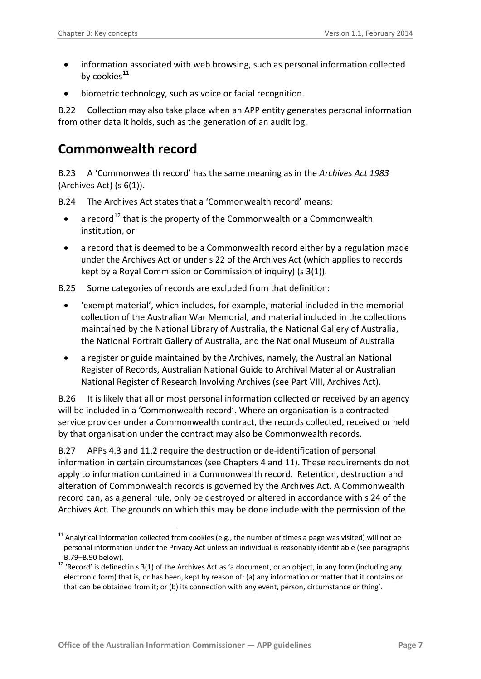-

- information associated with web browsing, such as personal information collected by cookies $^{11}$  $^{11}$  $^{11}$
- biometric technology, such as voice or facial recognition.

B.22 Collection may also take place when an APP entity generates personal information from other data it holds, such as the generation of an audit log.

#### <span id="page-6-0"></span>**Commonwealth record**

B.23 A 'Commonwealth record' has the same meaning as in the *Archives Act 1983* (Archives Act) (s 6(1)).

B.24 The Archives Act states that a 'Commonwealth record' means:

- a record<sup>[12](#page-6-1)</sup> that is the property of the Commonwealth or a Commonwealth institution, or
- a record that is deemed to be a Commonwealth record either by a regulation made under the Archives Act or under s 22 of the Archives Act (which applies to records kept by a Royal Commission or Commission of inquiry) (s 3(1)).

B.25 Some categories of records are excluded from that definition:

- 'exempt material', which includes, for example, material included in the memorial collection of the Australian War Memorial, and [material](http://www.austlii.edu.au/au/legis/cth/consol_act/aa198398/s3.html#material) included in the collections maintained by the National Library of Australia, the National Gallery of Australia, the National Portrait Gallery of Australia, and the National Museum of Australia
- a register or guide maintained by the Archives, namely, the Australian National Register of Records, Australian National Guide to Archival Material or Australian National Register of Research Involving Archives (see Part VIII, Archives Act).

B.26 It is likely that all or most personal information collected or received by an agency will be included in a 'Commonwealth record'. Where an organisation is a contracted service provider under a Commonwealth contract, the records collected, received or held by that organisation under the contract may also be Commonwealth records.

B.27 APPs 4.3 and 11.2 require the destruction or de-identification of personal information in certain circumstances (see Chapters 4 and 11). These requirements do not apply to information contained in a Commonwealth record. Retention, destruction and alteration of Commonwealth records is governed by the Archives Act. A Commonwealth record can, as a general rule, only be destroyed or altered in accordance with s 24 of the Archives Act. The grounds on which this may be done include with the permission of the

 $11$  Analytical information collected from cookies (e.g., the number of times a page was visited) will not be personal information under the Privacy Act unless an individual is reasonably identifiable (see paragraphs

<span id="page-6-1"></span>[B.79](#page-17-2)[–B.90](#page-19-3) below).<br><sup>12</sup> 'Record' is defined in s 3(1) of the Archives Act as 'a document, or an object, in any form (including any electronic form) that is, or has been, kept by reason of: (a) any information or matter that it contains or that can be obtained from it; or (b) its connection with any event, person, circumstance or thing'.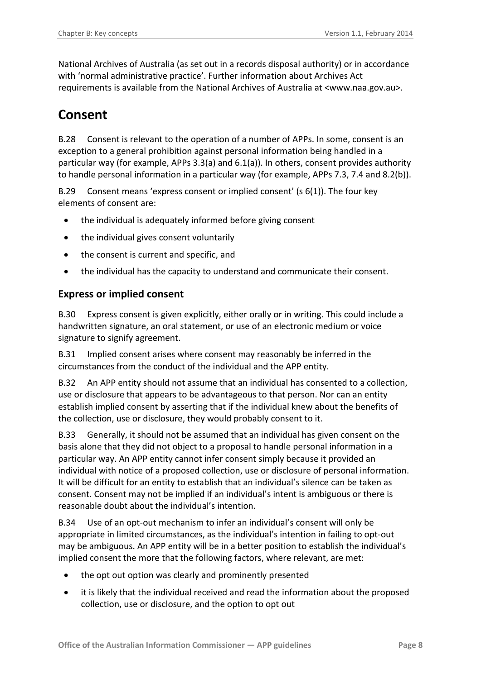National Archives of Australia (as set out in a records disposal authority) or in accordance with 'normal administrative practice'. Further information about Archives Act requirements is available from the National Archives of Australia at <www.naa.gov.au>.

### <span id="page-7-0"></span>**Consent**

B.28 Consent is relevant to the operation of a number of APPs. In some, consent is an exception to a general prohibition against personal information being handled in a particular way (for example, APPs 3.3(a) and 6.1(a)). In others, consent provides authority to handle personal information in a particular way (for example, APPs 7.3, 7.4 and 8.2(b)).

B.29 Consent means 'express consent or implied consent' (s 6(1)). The four key elements of consent are:

- the individual is adequately informed before giving consent
- the individual gives consent voluntarily
- the consent is current and specific, and
- the individual has the capacity to understand and communicate their consent.

#### <span id="page-7-1"></span>**Express or implied consent**

B.30 Express consent is given explicitly, either orally or in writing. This could include a handwritten signature, an oral statement, or use of an electronic medium or voice signature to signify agreement.

B.31 Implied consent arises where consent may reasonably be inferred in the circumstances from the conduct of the individual and the APP entity.

B.32 An APP entity should not assume that an individual has consented to a collection, use or disclosure that appears to be advantageous to that person. Nor can an entity establish implied consent by asserting that if the individual knew about the benefits of the collection, use or disclosure, they would probably consent to it.

B.33 Generally, it should not be assumed that an individual has given consent on the basis alone that they did not object to a proposal to handle personal information in a particular way. An APP entity cannot infer consent simply because it provided an individual with notice of a proposed collection, use or disclosure of personal information. It will be difficult for an entity to establish that an individual's silence can be taken as consent. Consent may not be implied if an individual's intent is ambiguous or there is reasonable doubt about the individual's intention.

B.34 Use of an opt-out mechanism to infer an individual's consent will only be appropriate in limited circumstances, as the individual's intention in failing to opt-out may be ambiguous. An APP entity will be in a better position to establish the individual's implied consent the more that the following factors, where relevant, are met:

- the opt out option was clearly and prominently presented
- it is likely that the individual received and read the information about the proposed collection, use or disclosure, and the option to opt out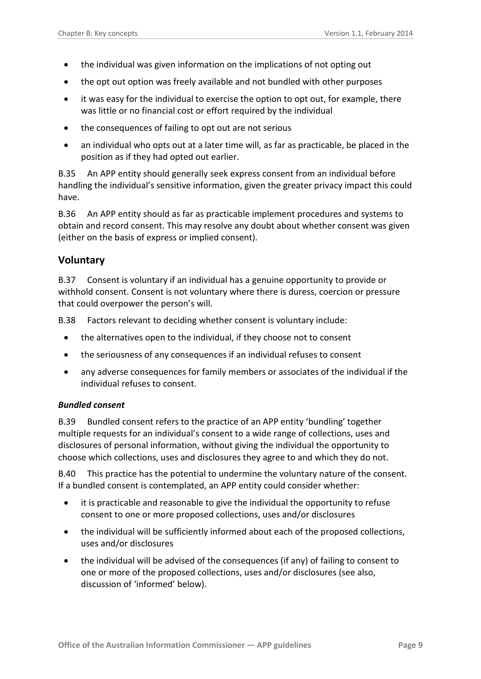- the individual was given information on the implications of not opting out
- the opt out option was freely available and not bundled with other purposes
- it was easy for the individual to exercise the option to opt out, for example, there was little or no financial cost or effort required by the individual
- the consequences of failing to opt out are not serious
- an individual who opts out at a later time will, as far as practicable, be placed in the position as if they had opted out earlier.

B.35 An APP entity should generally seek express consent from an individual before handling the individual's sensitive information, given the greater privacy impact this could have.

B.36 An APP entity should as far as practicable implement procedures and systems to obtain and record consent. This may resolve any doubt about whether consent was given (either on the basis of express or implied consent).

#### <span id="page-8-0"></span>**Voluntary**

B.37 Consent is voluntary if an individual has a genuine opportunity to provide or withhold consent. Consent is not voluntary where there is duress, coercion or pressure that could overpower the person's will.

B.38 Factors relevant to deciding whether consent is voluntary include:

- the alternatives open to the individual, if they choose not to consent
- the seriousness of any consequences if an individual refuses to consent
- any adverse consequences for family members or associates of the individual if the individual refuses to consent.

#### <span id="page-8-1"></span>*Bundled consent*

B.39 Bundled consent refers to the practice of an APP entity 'bundling' together multiple requests for an individual's consent to a wide range of collections, uses and disclosures of personal information, without giving the individual the opportunity to choose which collections, uses and disclosures they agree to and which they do not.

B.40 This practice has the potential to undermine the voluntary nature of the consent. If a bundled consent is contemplated, an APP entity could consider whether:

- it is practicable and reasonable to give the individual the opportunity to refuse consent to one or more proposed collections, uses and/or disclosures
- the individual will be sufficiently informed about each of the proposed collections, uses and/or disclosures
- the individual will be advised of the consequences (if any) of failing to consent to one or more of the proposed collections, uses and/or disclosures (see also, discussion of 'informed' below).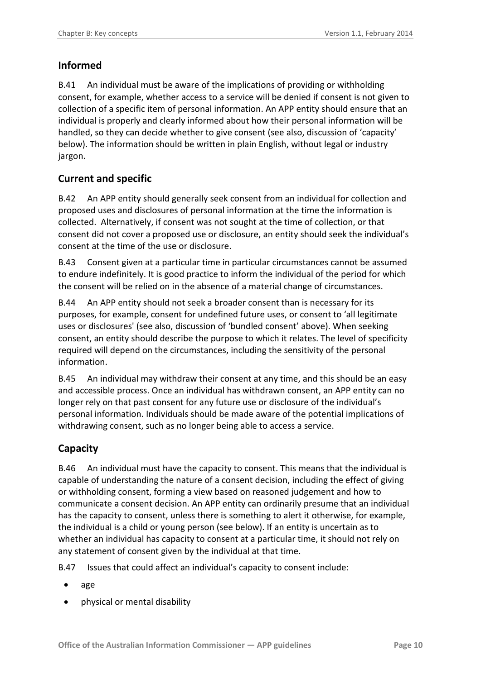#### <span id="page-9-0"></span>**Informed**

B.41 An individual must be aware of the implications of providing or withholding consent, for example, whether access to a service will be denied if consent is not given to collection of a specific item of personal information. An APP entity should ensure that an individual is properly and clearly informed about how their personal information will be handled, so they can decide whether to give consent (see also, discussion of 'capacity' below). The information should be written in plain English, without legal or industry jargon.

#### <span id="page-9-1"></span>**Current and specific**

B.42 An APP entity should generally seek consent from an individual for collection and proposed uses and disclosures of personal information at the time the information is collected. Alternatively, if consent was not sought at the time of collection, or that consent did not cover a proposed use or disclosure, an entity should seek the individual's consent at the time of the use or disclosure.

B.43 Consent given at a particular time in particular circumstances cannot be assumed to endure indefinitely. It is good practice to inform the individual of the period for which the consent will be relied on in the absence of a material change of circumstances.

B.44 An APP entity should not seek a broader consent than is necessary for its purposes, for example, consent for undefined future uses, or consent to 'all legitimate uses or disclosures' (see also, discussion of 'bundled consent' above). When seeking consent, an entity should describe the purpose to which it relates. The level of specificity required will depend on the circumstances, including the sensitivity of the personal information.

B.45 An individual may withdraw their consent at any time, and this should be an easy and accessible process. Once an individual has withdrawn consent, an APP entity can no longer rely on that past consent for any future use or disclosure of the individual's personal information. Individuals should be made aware of the potential implications of withdrawing consent, such as no longer being able to access a service.

#### <span id="page-9-2"></span>**Capacity**

B.46 An individual must have the capacity to consent. This means that the individual is capable of understanding the nature of a consent decision, including the effect of giving or withholding consent, forming a view based on reasoned judgement and how to communicate a consent decision. An APP entity can ordinarily presume that an individual has the capacity to consent, unless there is something to alert it otherwise, for example, the individual is a child or young person (see below). If an entity is uncertain as to whether an individual has capacity to consent at a particular time, it should not rely on any statement of consent given by the individual at that time.

B.47 Issues that could affect an individual's capacity to consent include:

- age
- physical or mental disability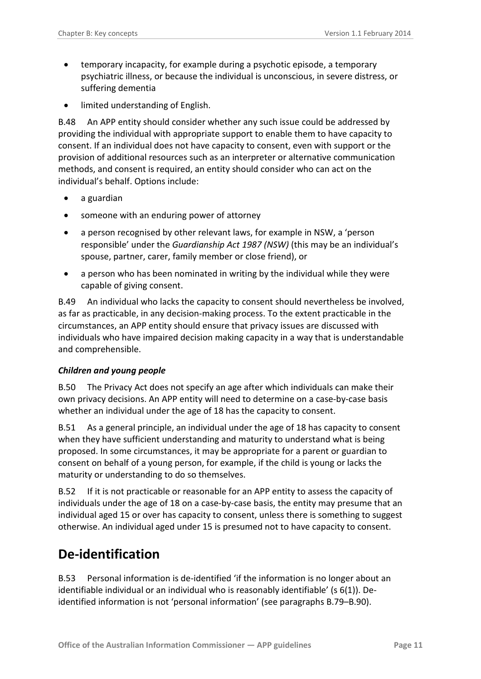- temporary incapacity, for example during a psychotic episode, a temporary psychiatric illness, or because the individual is unconscious, in severe distress, or suffering dementia
- limited understanding of English.

B.48 An APP entity should consider whether any such issue could be addressed by providing the individual with appropriate support to enable them to have capacity to consent. If an individual does not have capacity to consent, even with support or the provision of additional resources such as an interpreter or alternative communication methods, and consent is required, an entity should consider who can act on the individual's behalf. Options include:

- a guardian
- someone with an enduring power of attorney
- a person recognised by other relevant laws, for example in NSW, a 'person responsible' under the *Guardianship Act 1987 (NSW)* (this may be an individual's spouse, partner, carer, family member or close friend), or
- a person who has been nominated in writing by the individual while they were capable of giving consent.

B.49 An individual who lacks the capacity to consent should nevertheless be involved, as far as practicable, in any decision-making process. To the extent practicable in the circumstances, an APP entity should ensure that privacy issues are discussed with individuals who have impaired decision making capacity in a way that is understandable and comprehensible.

#### <span id="page-10-0"></span>*Children and young people*

B.50 The Privacy Act does not specify an age after which individuals can make their own privacy decisions. An APP entity will need to determine on a case-by-case basis whether an individual under the age of 18 has the capacity to consent.

B.51 As a general principle, an individual under the age of 18 has capacity to consent when they have sufficient understanding and maturity to understand what is being proposed. In some circumstances, it may be appropriate for a parent or guardian to consent on behalf of a young person, for example, if the child is young or lacks the maturity or understanding to do so themselves.

B.52 If it is not practicable or reasonable for an APP entity to assess the capacity of individuals under the age of 18 on a case-by-case basis, the entity may presume that an individual aged 15 or over has capacity to consent, unless there is something to suggest otherwise. An individual aged under 15 is presumed not to have capacity to consent.

#### <span id="page-10-1"></span>**De-identification**

<span id="page-10-2"></span>B.53 Personal information is de-identified 'if the information is no longer about an identifiable individual or an individual who is reasonably identifiable' (s 6(1)). Deidentified information is not 'personal information' (see paragraphs [B.79](#page-17-2)[–B.90\)](#page-19-3).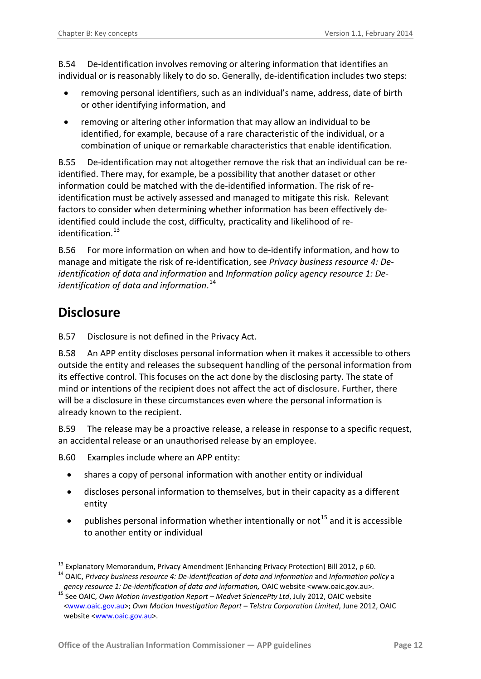B.54 De-identification involves removing or altering information that identifies an individual or is reasonably likely to do so. Generally, de-identification includes two steps:

- removing personal identifiers, such as an individual's name, address, date of birth or other identifying information, and
- removing or altering other information that may allow an individual to be identified, for example, because of a rare characteristic of the individual, or a combination of unique or remarkable characteristics that enable identification.

B.55 De-identification may not altogether remove the risk that an individual can be reidentified. There may, for example, be a possibility that another dataset or other information could be matched with the de-identified information. The risk of reidentification must be actively assessed and managed to mitigate this risk. Relevant factors to consider when determining whether information has been effectively deidentified could include the cost, difficulty, practicality and likelihood of re-identification.<sup>[13](#page-6-1)</sup>

B.56 For more information on when and how to de-identify information, and how to manage and mitigate the risk of re-identification, see *Privacy business resource 4: Deidentification of data and information* and *Information policy* a*gency resource 1: Deidentification of data and information*. [14](#page-11-1)

### <span id="page-11-0"></span>**Disclosure**

<span id="page-11-4"></span>B.57 Disclosure is not defined in the Privacy Act.

B.58 An APP entity discloses personal information when it makes it accessible to others outside the entity and releases the subsequent handling of the personal information from its effective control. This focuses on the act done by the disclosing party. The state of mind or intentions of the recipient does not affect the act of disclosure. Further, there will be a disclosure in these circumstances even where the personal information is already known to the recipient.

B.59 The release may be a proactive release, a release in response to a specific request, an accidental release or an unauthorised release by an employee.

B.60 Examples include where an APP entity:

- shares a copy of personal information with another entity or individual
- discloses personal information to themselves, but in their capacity as a different entity
- publishes personal information whether intentionally or not<sup>[15](#page-11-2)</sup> and it is accessible to another entity or individual

<span id="page-11-3"></span><sup>&</sup>lt;sup>13</sup> Explanatory Memorandum, Privacy Amendment (Enhancing Privacy Protection) Bill 2012, p 60.

<span id="page-11-1"></span><sup>&</sup>lt;sup>14</sup> OAIC, Privacy business resource 4: De-identification of data and information and Information policy a

<span id="page-11-2"></span>gency resource 1: De-identification of data and information, OAIC website <www.oaic.gov.au>.<br><sup>15</sup> See OAIC, Own Motion Investigation Report – Medvet SciencePty Ltd, July 2012, OAIC website [<www.oaic.gov.au>](http://www.oaic.gov.au/); *Own Motion Investigation Report – Telstra Corporation Limited*, June 2012, OAIC website [<www.oaic.gov.au>](http://www.oaic.gov.au/).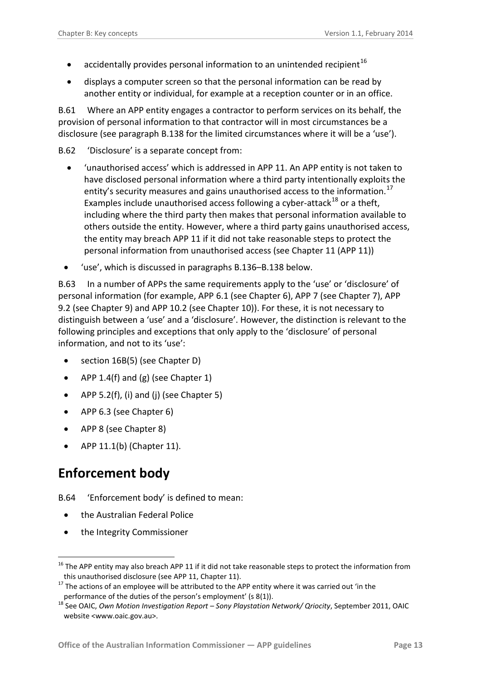- accidentally provides personal information to an unintended recipient<sup>[16](#page-11-3)</sup>
- displays a computer screen so that the personal information can be read by another entity or individual, for example at a reception counter or in an office.

B.61 Where an APP entity engages a contractor to perform services on its behalf, the provision of personal information to that contractor will in most circumstances be a disclosure (see paragraph [B.138](#page-27-0) for the limited circumstances where it will be a 'use').

<span id="page-12-4"></span>B.62 'Disclosure' is a separate concept from:

- 'unauthorised access' which is addressed in APP 11. An APP entity is not taken to have disclosed personal information where a third party intentionally exploits the entity's security measures and gains unauthorised access to the information.<sup>[17](#page-12-1)</sup> Examples include unauthorised access following a cyber-attack<sup>[18](#page-12-2)</sup> or a theft, including where the third party then makes that personal information available to others outside the entity. However, where a third party gains unauthorised access, the entity may breach APP 11 if it did not take reasonable steps to protect the personal information from unauthorised access (see Chapter 11 (APP 11))
- 'use', which is discussed in paragraphs [B.136](#page-26-1)[–B.138](#page-27-0) below.

<span id="page-12-5"></span>B.63 In a number of APPs the same requirements apply to the 'use' or 'disclosure' of personal information (for example, APP 6.1 (see Chapter 6), APP 7 (see Chapter 7), APP 9.2 (see Chapter 9) and APP 10.2 (see Chapter 10)). For these, it is not necessary to distinguish between a 'use' and a 'disclosure'. However, the distinction is relevant to the following principles and exceptions that only apply to the 'disclosure' of personal information, and not to its 'use':

- section 16B(5) (see Chapter D)
- APP 1.4(f) and (g) (see Chapter 1)
- APP 5.2(f), (i) and (j) (see Chapter 5)
- APP 6.3 (see Chapter 6)
- APP 8 (see Chapter 8)
- APP 11.1(b) (Chapter 11).

#### <span id="page-12-0"></span>**Enforcement body**

<u>.</u>

<span id="page-12-3"></span>B.64 'Enforcement body' is defined to mean:

- the Australian Federal Police
- the Integrity Commissioner

<sup>&</sup>lt;sup>16</sup> The APP entity may also breach APP 11 if it did not take reasonable steps to protect the information from this unauthorised disclosure (see APP 11, Chapter 11).<br><sup>17</sup> The actions of an employee will be attributed to the APP entity where it was carried out 'in the

<span id="page-12-1"></span>performance of the duties of the person's employment' (s 8(1)).

<span id="page-12-2"></span><sup>18</sup> See OAIC, *Own Motion Investigation Report – Sony Playstation Network/ Qriocity*, September 2011, OAIC website <www.oaic.gov.au>.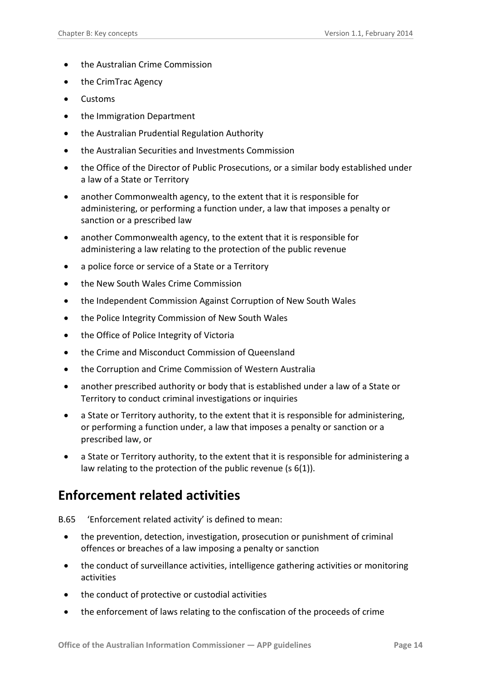- the Australian Crime Commission
- the CrimTrac Agency
- Customs
- the Immigration Department
- the Australian Prudential Regulation Authority
- the Australian Securities and Investments Commission
- the Office of the Director of Public Prosecutions, or a similar body established under a law of a State or Territory
- another Commonwealth agency, to the extent that it is responsible for administering, or performing a function under, a law that imposes a penalty or sanction or a prescribed law
- another Commonwealth agency, to the extent that it is responsible for administering a law relating to the protection of the public revenue
- a police force or service of a State or a Territory
- the New South Wales Crime Commission
- the Independent Commission Against Corruption of New South Wales
- the Police Integrity Commission of New South Wales
- the Office of Police Integrity of Victoria
- the Crime and Misconduct Commission of Queensland
- the Corruption and Crime Commission of Western Australia
- another prescribed authority or body that is established under a law of a State or Territory to conduct criminal investigations or inquiries
- a State or Territory authority, to the extent that it is responsible for administering, or performing a function under, a law that imposes a penalty or sanction or a prescribed law, or
- a State or Territory authority, to the extent that it is responsible for administering a law relating to the protection of the public revenue (s 6(1)).

### <span id="page-13-0"></span>**Enforcement related activities**

- B.65 'Enforcement related activity' is defined to mean:
	- the prevention, detection, investigation, prosecution or punishment of criminal offences or breaches of a law imposing a penalty or sanction
	- the conduct of surveillance activities, intelligence gathering activities or monitoring activities
	- the conduct of protective or custodial activities
	- the enforcement of laws relating to the confiscation of the proceeds of crime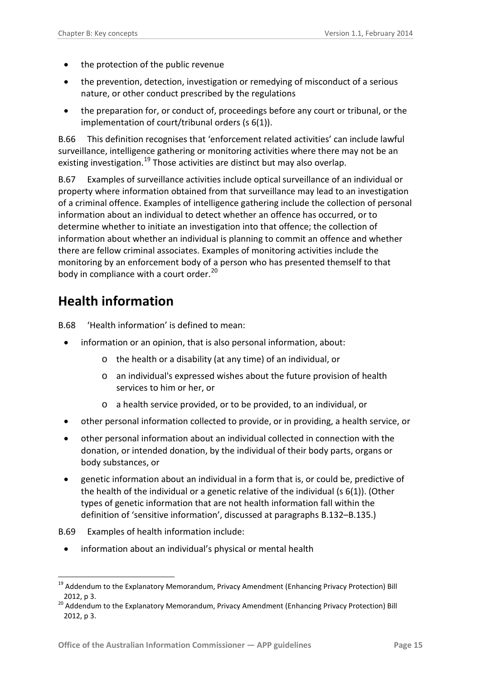- the protection of the public revenue
- the prevention, detection, investigation or remedying of misconduct of a serious nature, or other conduct prescribed by the regulations
- the preparation for, or conduct of, proceedings before any court or tribunal, or the implementation of court/tribunal orders (s 6(1)).

B.66 This definition recognises that 'enforcement related activities' can include lawful surveillance, intelligence gathering or monitoring activities where there may not be an existing investigation.<sup>[19](#page-12-1)</sup> Those activities are distinct but may also overlap.

B.67 Examples of surveillance activities include optical surveillance of an individual or property where information obtained from that surveillance may lead to an investigation of a criminal offence. Examples of intelligence gathering include the collection of personal information about an individual to detect whether an offence has occurred, or to determine whether to initiate an investigation into that offence; the collection of information about whether an individual is planning to commit an offence and whether there are fellow criminal associates. Examples of monitoring activities include the monitoring by an enforcement body of a person who has presented themself to that body in compliance with a court order.<sup>[20](#page-14-1)</sup>

### <span id="page-14-0"></span>**Health information**

<span id="page-14-3"></span>B.68 'Health information' is defined to mean:

- information or an opinion, that is also personal information, about:
	- o the health or a disability (at any time) of an individual, or
	- o an individual's expressed wishes about the future provision of health services to him or her, or
	- o a health service provided, or to be provided, to an individual, or
- other personal information collected to provide, or in providing, a health service, or
- other personal information about an individual collected in connection with the donation, or intended donation, by the individual of their body parts, organs or body substances, or
- genetic information about an individual in a form that is, or could be, predictive of the health of the individual or a genetic relative of the individual (s 6(1)). (Other types of genetic information that are not health information fall within the definition of 'sensitive information', discussed at paragraphs [B.132–](#page-25-3)[B.135.](#page-26-2))
- B.69 Examples of health information include:
	- information about an individual's physical or mental health

<span id="page-14-2"></span><sup>1</sup> <sup>19</sup> Addendum to the Explanatory Memorandum, Privacy Amendment (Enhancing Privacy Protection) Bill 2012, p 3.

<span id="page-14-1"></span><sup>&</sup>lt;sup>20</sup> Addendum to the Explanatory Memorandum, Privacy Amendment (Enhancing Privacy Protection) Bill 2012, p 3.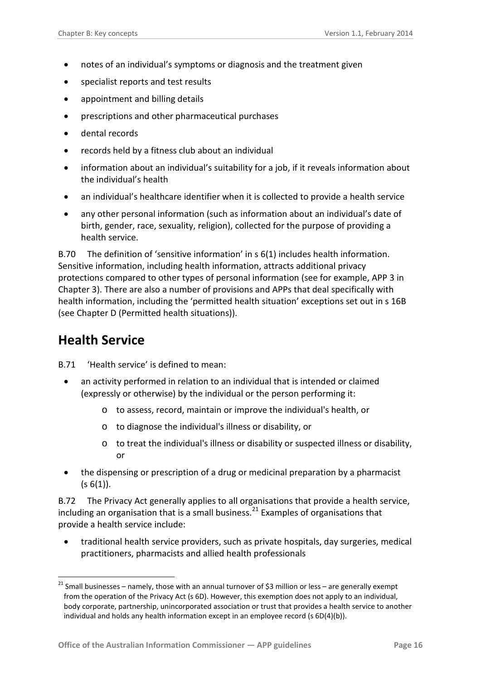- notes of an individual's symptoms or diagnosis and the treatment given
- specialist reports and test results
- appointment and billing details
- prescriptions and other pharmaceutical purchases
- dental records
- records held by a fitness club about an individual
- information about an individual's suitability for a job, if it reveals information about the individual's health
- an individual's healthcare identifier when it is collected to provide a health service
- any other personal information (such as information about an individual's date of birth, gender, race, sexuality, religion), collected for the purpose of providing a health service.

B.70 The definition of 'sensitive information' in s 6(1) includes health information. Sensitive information, including health information, attracts additional privacy protections compared to other types of personal information (see for example, APP 3 in Chapter 3). There are also a number of provisions and APPs that deal specifically with health information, including the 'permitted health situation' exceptions set out in s 16B (see Chapter D (Permitted health situations)).

### <span id="page-15-0"></span>**Health Service**

1

- B.71 'Health service' is defined to mean:
	- an activity performed in relation to an individual that is intended or claimed (expressly or otherwise) by the individual or the person performing it:
		- o to assess, record, maintain or improve the individual's health, or
		- o to diagnose the individual's illness or disability, or
		- o to treat the individual's illness or disability or suspected illness or disability, or
	- the dispensing or prescription of a drug or medicinal preparation by a pharmacist  $(s 6(1))$ .

<span id="page-15-2"></span>B.72 The Privacy Act generally applies to all organisations that provide a health service, including an organisation that is a small business. $^{21}$  $^{21}$  $^{21}$  Examples of organisations that provide a health service include:

• traditional health service providers, such as private hospitals, day surgeries, medical practitioners, pharmacists and allied health professionals

<span id="page-15-1"></span><sup>&</sup>lt;sup>21</sup> Small businesses – namely, those with an annual turnover of \$3 million or less – are generally exempt from the operation of the Privacy Act (s 6D). However, this exemption does not apply to an individual, body corporate, partnership, unincorporated association or trust that provides a health service to another individual and holds any health information except in an employee record (s 6D(4)(b)).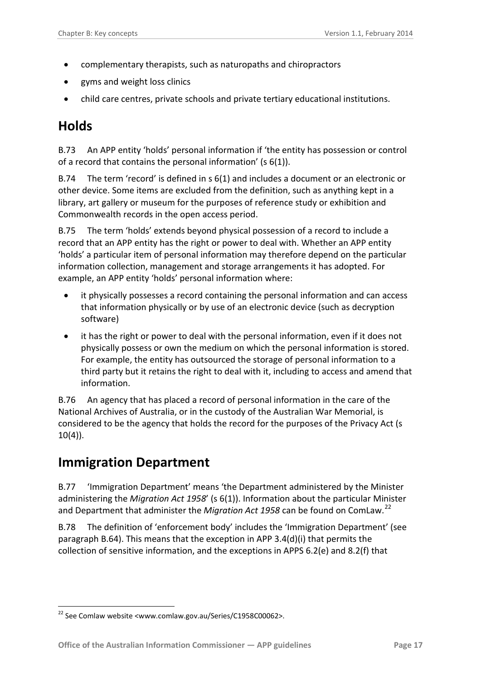- complementary therapists, such as naturopaths and chiropractors
- gyms and weight loss clinics
- child care centres, private schools and private tertiary educational institutions.

### <span id="page-16-0"></span>**Holds**

B.73 An APP entity 'holds' personal information if 'the entity has possession or control of a record that contains the personal information' (s 6(1)).

B.74 The term 'record' is defined in s 6(1) and includes a document or an electronic or other device. Some items are excluded from the definition, such as anything kept in a library, art gallery or museum for the purposes of reference study or exhibition and Commonwealth records in the open access period.

B.75 The term 'holds' extends beyond physical possession of a record to include a record that an APP entity has the right or power to deal with. Whether an APP entity 'holds' a particular item of personal information may therefore depend on the particular information collection, management and storage arrangements it has adopted. For example, an APP entity 'holds' personal information where:

- it physically possesses a record containing the personal information and can access that information physically or by use of an electronic device (such as decryption software)
- it has the right or power to deal with the personal information, even if it does not physically possess or own the medium on which the personal information is stored. For example, the entity has outsourced the storage of personal information to a third party but it retains the right to deal with it, including to access and amend that information.

B.76 An agency that has placed a record of personal information in the care of the National Archives of Australia, or in the custody of the Australian War Memorial, is considered to be the agency that holds the record for the purposes of the Privacy Act (s  $10(4)$ ).

### <span id="page-16-1"></span>**Immigration Department**

B.77 'Immigration Department' means 'the Department administered by the Minister administering the *Migration Act 1958*' (s 6(1)). Information about the particular Minister and Department that administer the *Migration Act 1958* can be found on ComLaw.[22](#page-15-1)

B.78 The definition of 'enforcement body' includes the 'Immigration Department' (see paragraph [B.64\)](#page-12-3). This means that the exception in APP 3.4(d)(i) that permits the collection of sensitive information, and the exceptions in APPS 6.2(e) and 8.2(f) that

<span id="page-16-2"></span><sup>&</sup>lt;u>.</u> <sup>22</sup> See Comlaw website <www.comlaw.gov.au/Series/C1958C00062>.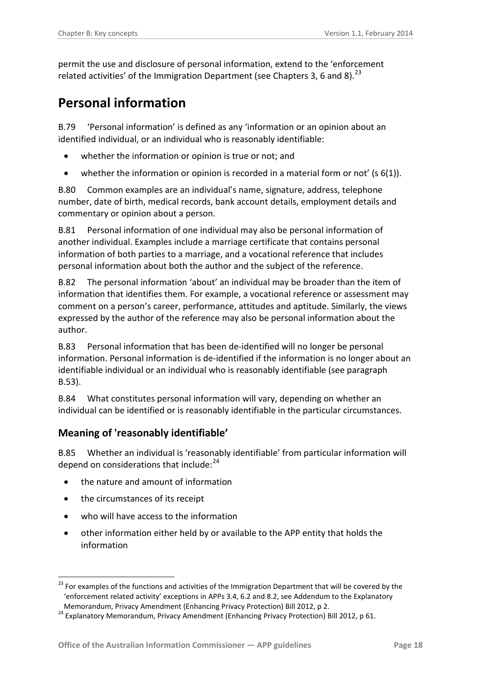permit the use and disclosure of personal information, extend to the 'enforcement related activities' of the Immigration Department (see Chapters 3, 6 and 8).  $^{23}$ 

### <span id="page-17-0"></span>**Personal information**

<span id="page-17-2"></span>B.79 'Personal information' is defined as any 'information or an opinion about an identified individual, or an individual who is reasonably identifiable:

- whether the information or opinion is true or not; and
- whether the information or opinion is recorded in a material form or not'  $(s \ 6(1))$ .

B.80 Common examples are an individual's name, signature, address, telephone number, date of birth, medical records, bank account details, employment details and commentary or opinion about a person.

B.81 Personal information of one individual may also be personal information of another individual. Examples include a marriage certificate that contains personal information of both parties to a marriage, and a vocational reference that includes personal information about both the author and the subject of the reference.

B.82 The personal information 'about' an individual may be broader than the item of information that identifies them. For example, a vocational reference or assessment may comment on a person's career, performance, attitudes and aptitude. Similarly, the views expressed by the author of the reference may also be personal information about the author.

B.83 Personal information that has been de-identified will no longer be personal information. Personal information is de-identified if the information is no longer about an identifiable individual or an individual who is reasonably identifiable (see paragraph [B.53\)](#page-10-2).

B.84 What constitutes personal information will vary, depending on whether an individual can be identified or is reasonably identifiable in the particular circumstances.

#### <span id="page-17-1"></span>**Meaning of 'reasonably identifiable'**

B.85 Whether an individual is 'reasonably identifiable' from particular information will depend on considerations that include: $24$ 

- the nature and amount of information
- the circumstances of its receipt

1

- who will have access to the information
- other information either held by or available to the APP entity that holds the information

<span id="page-17-4"></span><sup>&</sup>lt;sup>23</sup> For examples of the functions and activities of the Immigration Department that will be covered by the 'enforcement related activity' exceptions in APPs 3.4, 6.2 and 8.2, see Addendum to the Explanatory Memorandum, Privacy Amendment (Enhancing Privacy Protection) Bill 2012, p 2.

<span id="page-17-3"></span><sup>&</sup>lt;sup>24</sup> Explanatory Memorandum, Privacy Amendment (Enhancing Privacy Protection) Bill 2012, p 61.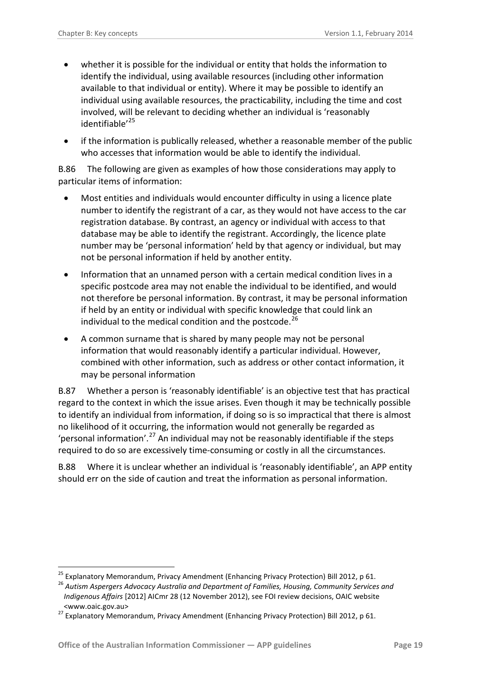- whether it is possible for the individual or entity that holds the information to identify the individual, using available resources (including other information available to that individual or entity). Where it may be possible to identify an individual using available resources, the practicability, including the time and cost involved, will be relevant to deciding whether an individual is 'reasonably identifiable'<sup>[25](#page-17-4)</sup>
- if the information is publically released, whether a reasonable member of the public who accesses that information would be able to identify the individual.

B.86 The following are given as examples of how those considerations may apply to particular items of information:

- Most entities and individuals would encounter difficulty in using a licence plate number to identify the registrant of a car, as they would not have access to the car registration database. By contrast, an agency or individual with access to that database may be able to identify the registrant. Accordingly, the licence plate number may be 'personal information' held by that agency or individual, but may not be personal information if held by another entity.
- Information that an unnamed person with a certain medical condition lives in a specific postcode area may not enable the individual to be identified, and would not therefore be personal information. By contrast, it may be personal information if held by an entity or individual with specific knowledge that could link an individual to the medical condition and the postcode.<sup>[26](#page-18-0)</sup>
- A common surname that is shared by many people may not be personal information that would reasonably identify a particular individual. However, combined with other information, such as address or other contact information, it may be personal information

B.87 Whether a person is 'reasonably identifiable' is an objective test that has practical regard to the context in which the issue arises. Even though it may be technically possible to identify an individual from information, if doing so is so impractical that there is almost no likelihood of it occurring, the information would not generally be regarded as 'personal information'.<sup>[27](#page-18-1)</sup> An individual may not be reasonably identifiable if the steps required to do so are excessively time-consuming or costly in all the circumstances.

B.88 Where it is unclear whether an individual is 'reasonably identifiable', an APP entity should err on the side of caution and treat the information as personal information.

<u>.</u>

<span id="page-18-0"></span>

<sup>&</sup>lt;sup>25</sup> Explanatory Memorandum, Privacy Amendment (Enhancing Privacy Protection) Bill 2012, p 61.<br><sup>26</sup> Autism Aspergers Advocacy Australia and Department of Families, Housing, Community Services and *Indigenous Affairs* [2012] AICmr 28 (12 November 2012), see FOI review decisions, OAIC website <www.oaic.gov.au>

<span id="page-18-2"></span><span id="page-18-1"></span><sup>27</sup> Explanatory Memorandum, Privacy Amendment (Enhancing Privacy Protection) Bill 2012, p 61.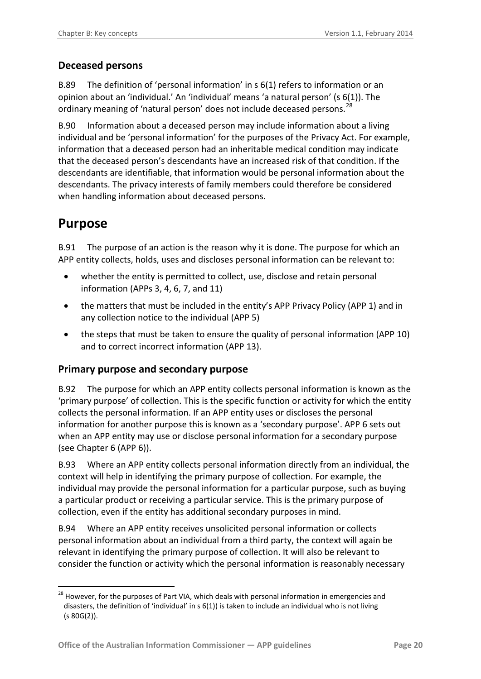#### <span id="page-19-0"></span>**Deceased persons**

B.89 The definition of 'personal information' in s 6(1) refers to information or an opinion about an 'individual.' An 'individual' means 'a natural person' (s 6(1)). The ordinary meaning of 'natural person' does not include deceased persons.<sup>[28](#page-18-2)</sup>

<span id="page-19-3"></span>B.90 Information about a deceased person may include information about a living individual and be 'personal information' for the purposes of the Privacy Act. For example, information that a deceased person had an inheritable medical condition may indicate that the deceased person's descendants have an increased risk of that condition. If the descendants are identifiable, that information would be personal information about the descendants. The privacy interests of family members could therefore be considered when handling information about deceased persons.

## <span id="page-19-1"></span>**Purpose**

B.91 The purpose of an action is the reason why it is done. The purpose for which an APP entity collects, holds, uses and discloses personal information can be relevant to:

- whether the entity is permitted to collect, use, disclose and retain personal information (APPs 3, 4, 6, 7, and 11)
- the matters that must be included in the entity's APP Privacy Policy (APP 1) and in any collection notice to the individual (APP 5)
- the steps that must be taken to ensure the quality of personal information (APP 10) and to correct incorrect information (APP 13).

#### <span id="page-19-2"></span>**Primary purpose and secondary purpose**

B.92 The purpose for which an APP entity collects personal information is known as the 'primary purpose' of collection. This is the specific function or activity for which the entity collects the personal information. If an APP entity uses or discloses the personal information for another purpose this is known as a 'secondary purpose'. APP 6 sets out when an APP entity may use or disclose personal information for a secondary purpose (see Chapter 6 (APP 6)).

B.93 Where an APP entity collects personal information directly from an individual, the context will help in identifying the primary purpose of collection. For example, the individual may provide the personal information for a particular purpose, such as buying a particular product or receiving a particular service. This is the primary purpose of collection, even if the entity has additional secondary purposes in mind.

<span id="page-19-4"></span>B.94 Where an APP entity receives unsolicited personal information or collects personal information about an individual from a third party, the context will again be relevant in identifying the primary purpose of collection. It will also be relevant to consider the function or activity which the personal information is reasonably necessary

<sup>&</sup>lt;u>.</u> <sup>28</sup> However, for the purposes of Part VIA, which deals with personal information in emergencies and disasters, the definition of 'individual' in s 6(1)) is taken to include an individual who is not living (s 80G(2)).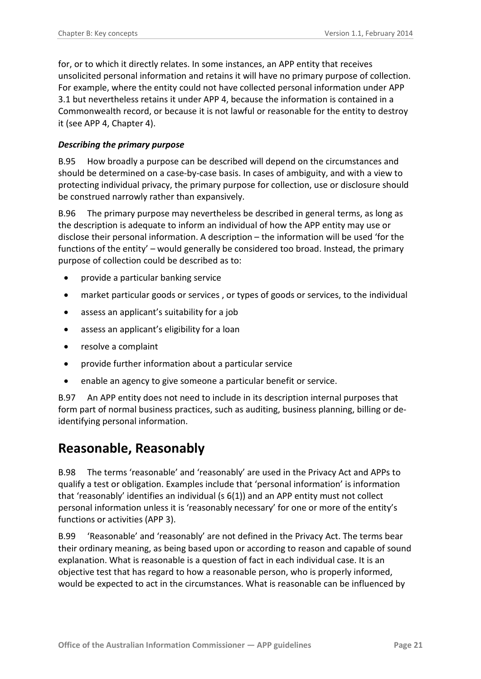for, or to which it directly relates. In some instances, an APP entity that receives unsolicited personal information and retains it will have no primary purpose of collection. For example, where the entity could not have collected personal information under APP 3.1 but nevertheless retains it under APP 4, because the information is contained in a Commonwealth record, or because it is not lawful or reasonable for the entity to destroy it (see APP 4, Chapter 4).

#### <span id="page-20-0"></span>*Describing the primary purpose*

B.95 How broadly a purpose can be described will depend on the circumstances and should be determined on a case-by-case basis. In cases of ambiguity, and with a view to protecting individual privacy, the primary purpose for collection, use or disclosure should be construed narrowly rather than expansively.

B.96 The primary purpose may nevertheless be described in general terms, as long as the description is adequate to inform an individual of how the APP entity may use or disclose their personal information. A description – the information will be used 'for the functions of the entity' – would generally be considered too broad. Instead, the primary purpose of collection could be described as to:

- provide a particular banking service
- market particular goods or services , or types of goods or services, to the individual
- assess an applicant's suitability for a job
- assess an applicant's eligibility for a loan
- resolve a complaint
- provide further information about a particular service
- enable an agency to give someone a particular benefit or service.

B.97 An APP entity does not need to include in its description internal purposes that form part of normal business practices, such as auditing, business planning, billing or deidentifying personal information.

#### <span id="page-20-1"></span>**Reasonable, Reasonably**

<span id="page-20-2"></span>B.98 The terms 'reasonable' and 'reasonably' are used in the Privacy Act and APPs to qualify a test or obligation. Examples include that 'personal information' is information that 'reasonably' identifies an individual (s 6(1)) and an APP entity must not collect personal information unless it is 'reasonably necessary' for one or more of the entity's functions or activities (APP 3).

B.99 'Reasonable' and 'reasonably' are not defined in the Privacy Act. The terms bear their ordinary meaning, as being based upon or according to reason and capable of sound explanation. What is reasonable is a question of fact in each individual case. It is an objective test that has regard to how a reasonable person, who is properly informed, would be expected to act in the circumstances. What is reasonable can be influenced by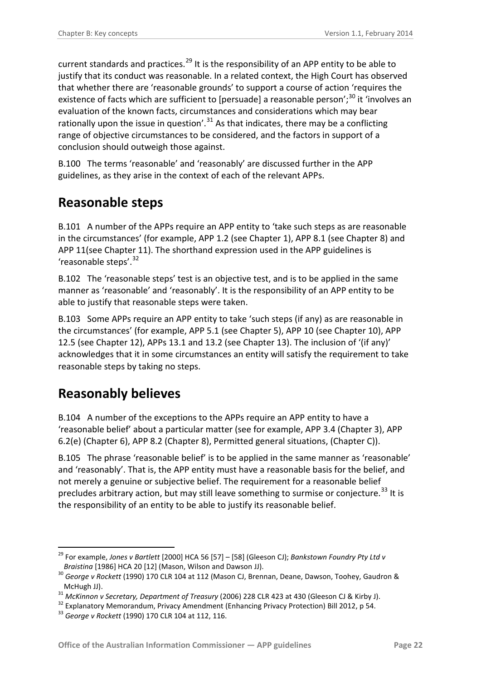current standards and practices.<sup>[29](#page-19-4)</sup> It is the responsibility of an APP entity to be able to justify that its conduct was reasonable. In a related context, the High Court has observed that whether there are 'reasonable grounds' to support a course of action 'requires the existence of facts which are sufficient to [persuade] a reasonable person';<sup>[30](#page-21-2)</sup> it 'involves an evaluation of the known facts, circumstances and considerations which may bear rationally upon the issue in question'.<sup>[31](#page-21-3)</sup> As that indicates, there may be a conflicting range of objective circumstances to be considered, and the factors in support of a conclusion should outweigh those against.

<span id="page-21-6"></span>B.100 The terms 'reasonable' and 'reasonably' are discussed further in the APP guidelines, as they arise in the context of each of the relevant APPs.

### <span id="page-21-0"></span>**Reasonable steps**

B.101 A number of the APPs require an APP entity to 'take such steps as are reasonable in the circumstances' (for example, APP 1.2 (see Chapter 1), APP 8.1 (see Chapter 8) and APP 11(see Chapter 11). The shorthand expression used in the APP guidelines is 'reasonable steps'.<sup>[32](#page-21-4)</sup>

B.102 The 'reasonable steps' test is an objective test, and is to be applied in the same manner as 'reasonable' and 'reasonably'. It is the responsibility of an APP entity to be able to justify that reasonable steps were taken.

B.103 Some APPs require an APP entity to take 'such steps (if any) as are reasonable in the circumstances' (for example, APP 5.1 (see Chapter 5), APP 10 (see Chapter 10), APP 12.5 (see Chapter 12), APPs 13.1 and 13.2 (see Chapter 13). The inclusion of '(if any)' acknowledges that it in some circumstances an entity will satisfy the requirement to take reasonable steps by taking no steps.

### <span id="page-21-1"></span>**Reasonably believes**

<u>.</u>

B.104 A number of the exceptions to the APPs require an APP entity to have a 'reasonable belief' about a particular matter (see for example, APP 3.4 (Chapter 3), APP 6.2(e) (Chapter 6), APP 8.2 (Chapter 8), Permitted general situations, (Chapter C)).

B.105 The phrase 'reasonable belief' is to be applied in the same manner as 'reasonable' and 'reasonably'. That is, the APP entity must have a reasonable basis for the belief, and not merely a genuine or subjective belief. The requirement for a reasonable belief precludes arbitrary action, but may still leave something to surmise or conjecture.<sup>[33](#page-21-5)</sup> It is the responsibility of an entity to be able to justify its reasonable belief.

<sup>29</sup> For example, *Jones v Bartlett* [2000] HCA 56 [57] – [58] (Gleeson CJ); *Bankstown Foundry Pty Ltd v* 

<span id="page-21-2"></span>*Braistina* [1986] HCA 20 [12] (Mason, Wilson and Dawson JJ). <sup>30</sup> *George v Rockett* (1990) 170 CLR 104 at 112 (Mason CJ, Brennan, Deane, Dawson, Toohey, Gaudron & McHugh JJ).<br><sup>31</sup> McKinnon v Secretary, Department of Treasury (2006) 228 CLR 423 at 430 (Gleeson CJ & Kirby J).<br><sup>32</sup> Explanatory Memorandum, Privacy Amendment (Enhancing Privacy Protection) Bill 2012, p 54.<br><sup>33</sup> Georae v R

<span id="page-21-3"></span>

<span id="page-21-5"></span><span id="page-21-4"></span>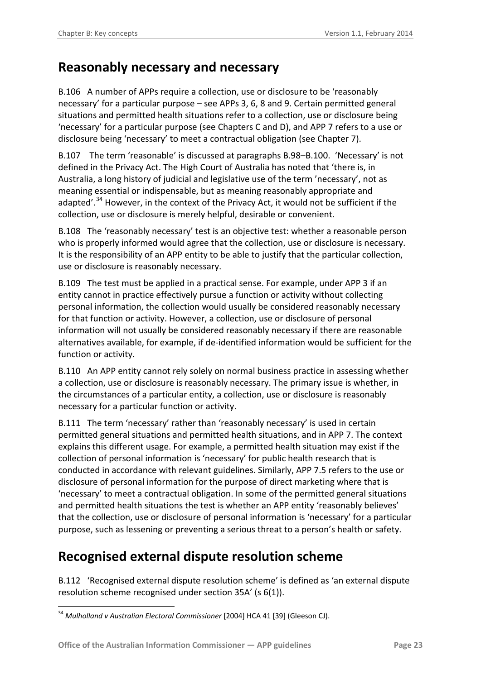#### <span id="page-22-0"></span>**Reasonably necessary and necessary**

B.106 A number of APPs require a collection, use or disclosure to be 'reasonably necessary' for a particular purpose – see APPs 3, 6, 8 and 9. Certain permitted general situations and permitted health situations refer to a collection, use or disclosure being 'necessary' for a particular purpose (see Chapters C and D), and APP 7 refers to a use or disclosure being 'necessary' to meet a contractual obligation (see Chapter 7).

B.107 The term 'reasonable' is discussed at paragraphs [B.98](#page-20-2)[–B.100.](#page-21-6) 'Necessary' is not defined in the Privacy Act. The High Court of Australia has noted that 'there is, in Australia, a long history of judicial and legislative use of the term 'necessary', not as meaning essential or indispensable, but as meaning reasonably appropriate and adapted'.<sup>[34](#page-21-5)</sup> However, in the context of the Privacy Act, it would not be sufficient if the collection, use or disclosure is merely helpful, desirable or convenient.

B.108 The 'reasonably necessary' test is an objective test: whether a reasonable person who is properly informed would agree that the collection, use or disclosure is necessary. It is the responsibility of an APP entity to be able to justify that the particular collection, use or disclosure is reasonably necessary.

B.109 The test must be applied in a practical sense. For example, under APP 3 if an entity cannot in practice effectively pursue a function or activity without collecting personal information, the collection would usually be considered reasonably necessary for that function or activity. However, a collection, use or disclosure of personal information will not usually be considered reasonably necessary if there are reasonable alternatives available, for example, if de-identified information would be sufficient for the function or activity.

B.110 An APP entity cannot rely solely on normal business practice in assessing whether a collection, use or disclosure is reasonably necessary. The primary issue is whether, in the circumstances of a particular entity, a collection, use or disclosure is reasonably necessary for a particular function or activity.

B.111 The term 'necessary' rather than 'reasonably necessary' is used in certain permitted general situations and permitted health situations, and in APP 7. The context explains this different usage. For example, a permitted health situation may exist if the collection of personal information is 'necessary' for public health research that is conducted in accordance with relevant guidelines. Similarly, APP 7.5 refers to the use or disclosure of personal information for the purpose of direct marketing where that is 'necessary' to meet a contractual obligation. In some of the permitted general situations and permitted health situations the test is whether an APP entity 'reasonably believes' that the collection, use or disclosure of personal information is 'necessary' for a particular purpose, such as lessening or preventing a serious threat to a person's health or safety.

### <span id="page-22-1"></span>**Recognised external dispute resolution scheme**

<span id="page-22-2"></span>B.112 'Recognised external dispute resolution scheme' is defined as 'an external dispute resolution scheme recognised under section 35A' (s 6(1)).

<sup>&</sup>lt;u>.</u> <sup>34</sup> *Mulholland v Australian Electoral Commissioner* [2004] HCA 41 [39] (Gleeson CJ).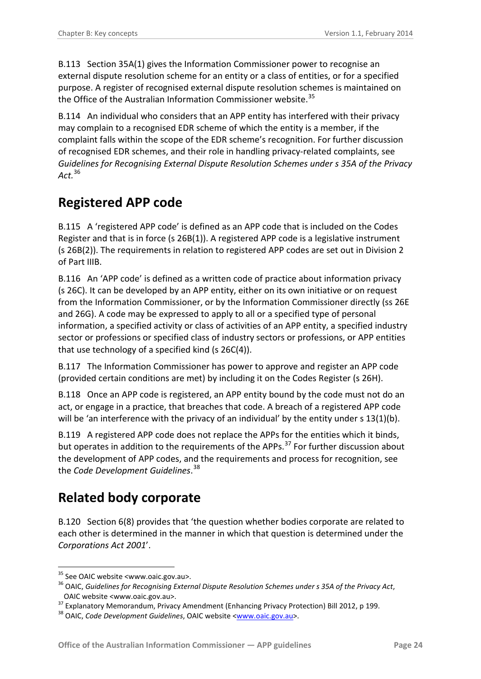B.113 Section 35A(1) gives the Information Commissioner power to recognise an external dispute resolution scheme for an entity or a class of entities, or for a specified purpose. A register of recognised external dispute resolution schemes is maintained on the Office of the Australian Information Commissioner website.<sup>[35](#page-22-2)</sup>

B.114 An individual who considers that an APP entity has interfered with their privacy may complain to a recognised EDR scheme of which the entity is a member, if the complaint falls within the scope of the EDR scheme's recognition. For further discussion of recognised EDR schemes, and their role in handling privacy-related complaints, see *Guidelines for Recognising External Dispute Resolution Schemes under s 35A of the Privacy Act.* [36](#page-23-2)

### <span id="page-23-0"></span>**Registered APP code**

B.115 A 'registered APP code' is defined as an APP code that is included on the Codes Register and that is in force (s 26B(1)). A registered APP code is a legislative instrument (s 26B(2)). The requirements in relation to registered APP codes are set out in Division 2 of Part IIIB.

B.116 An 'APP code' is defined as a written code of practice about information privacy (s 26C). It can be developed by an APP entity, either on its own initiative or on request from the Information Commissioner, or by the Information Commissioner directly (ss 26E and 26G). A code may be expressed to apply to all or a specified type of personal information, a specified activity or class of activities of an APP entity, a specified industry sector or professions or specified class of industry sectors or professions, or APP entities that use technology of a specified kind (s 26C(4)).

B.117 The Information Commissioner has power to approve and register an APP code (provided certain conditions are met) by including it on the Codes Register (s 26H).

B.118 Once an APP code is registered, an APP entity bound by the code must not do an act, or engage in a practice, that breaches that code. A breach of a registered APP code will be 'an interference with the privacy of an individual' by the entity under  $s$  13(1)(b).

B.119 A registered APP code does not replace the APPs for the entities which it binds, but operates in addition to the requirements of the APPs.<sup>[37](#page-23-3)</sup> For further discussion about the development of APP codes, and the requirements and process for recognition, see the *Code Development Guidelines*. [38](#page-23-4) 

### <span id="page-23-1"></span>**Related body corporate**

B.120 Section 6(8) provides that 'the question whether bodies corporate are related to each other is determined in the manner in which that question is determined under the *Corporations Act 2001*'.

<sup>&</sup>lt;sup>35</sup> See OAIC website <www.oaic.gov.au>.

<span id="page-23-2"></span><sup>&</sup>lt;sup>36</sup> OAIC. Guidelines for Recognising External Dispute Resolution Schemes under s 35A of the Privacy Act,

<span id="page-23-3"></span>OAIC website <www.oaic.gov.au>. <sup>37</sup> Explanatory Memorandum, Privacy Amendment (Enhancing Privacy Protection) Bill 2012, p 199. <sup>38</sup> OAIC, *Code Development Guidelines*, OAIC website [<www.oaic.gov.au>](http://www.oaic.gov.au/).

<span id="page-23-4"></span>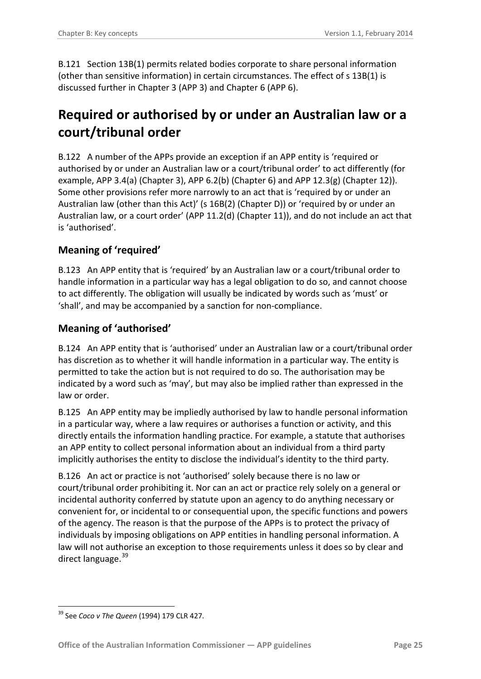B.121 Section 13B(1) permits related bodies corporate to share personal information (other than sensitive information) in certain circumstances. The effect of s 13B(1) is discussed further in Chapter 3 (APP 3) and Chapter 6 (APP 6).

# <span id="page-24-0"></span>**Required or authorised by or under an Australian law or a court/tribunal order**

B.122 A number of the APPs provide an exception if an APP entity is 'required or authorised by or under an Australian law or a court/tribunal order' to act differently (for example, APP 3.4(a) (Chapter 3), APP 6.2(b) (Chapter 6) and APP 12.3(g) (Chapter 12)). Some other provisions refer more narrowly to an act that is 'required by or under an Australian law (other than this Act)' (s 16B(2) (Chapter D)) or 'required by or under an Australian law, or a court order' (APP 11.2(d) (Chapter 11)), and do not include an act that is 'authorised'.

#### <span id="page-24-1"></span>**Meaning of 'required'**

B.123 An APP entity that is 'required' by an Australian law or a court/tribunal order to handle information in a particular way has a legal obligation to do so, and cannot choose to act differently. The obligation will usually be indicated by words such as 'must' or 'shall', and may be accompanied by a sanction for non-compliance.

#### <span id="page-24-2"></span>**Meaning of 'authorised'**

B.124 An APP entity that is 'authorised' under an Australian law or a court/tribunal order has discretion as to whether it will handle information in a particular way. The entity is permitted to take the action but is not required to do so. The authorisation may be indicated by a word such as 'may', but may also be implied rather than expressed in the law or order.

B.125 An APP entity may be impliedly authorised by law to handle personal information in a particular way, where a law requires or authorises a function or activity, and this directly entails the information handling practice. For example, a statute that authorises an APP entity to collect personal information about an individual from a third party implicitly authorises the entity to disclose the individual's identity to the third party.

B.126 An act or practice is not 'authorised' solely because there is no law or court/tribunal order prohibiting it. Nor can an act or practice rely solely on a general or incidental authority conferred by statute upon an agency to do anything necessary or convenient for, or incidental to or consequential upon, the specific functions and powers of the agency. The reason is that the purpose of the APPs is to protect the privacy of individuals by imposing obligations on APP entities in handling personal information. A law will not authorise an exception to those requirements unless it does so by clear and direct language.<sup>39</sup>

<span id="page-24-3"></span><sup>&</sup>lt;u>.</u> <sup>39</sup> See *Coco v The Queen* (1994) 179 CLR 427.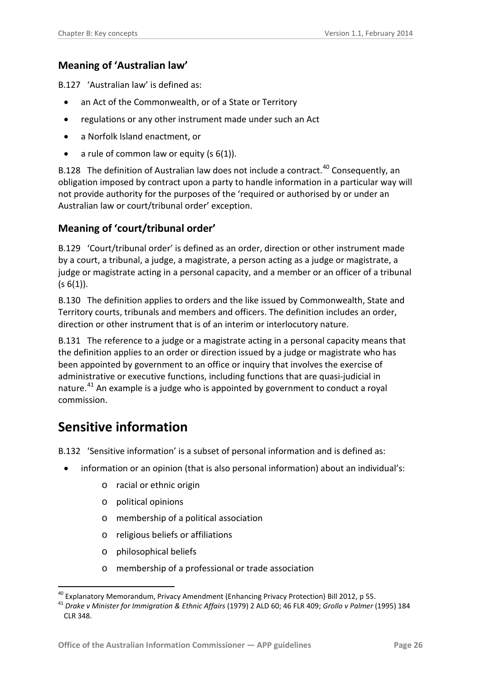#### <span id="page-25-0"></span>**Meaning of 'Australian law'**

B.127 'Australian law' is defined as:

- an Act of the Commonwealth, or of a State or Territory
- regulations or any other instrument made under such an Act
- a Norfolk Island enactment, or
- a rule of common law or equity  $(s 6(1))$ .

B.128 The definition of Australian law does not include a contract.<sup>[40](#page-24-3)</sup> Consequently, an obligation imposed by contract upon a party to handle information in a particular way will not provide authority for the purposes of the 'required or authorised by or under an Australian law or court/tribunal order' exception.

#### <span id="page-25-1"></span>**Meaning of 'court/tribunal order'**

B.129 'Court/tribunal order' is defined as an order, direction or other instrument made by a court, a tribunal, a judge, a magistrate, a person acting as a judge or magistrate, a judge or magistrate acting in a personal capacity, and a member or an officer of a tribunal  $(s 6(1))$ .

B.130 The definition applies to orders and the like issued by Commonwealth, State and Territory courts, tribunals and members and officers. The definition includes an order, direction or other instrument that is of an interim or interlocutory nature.

B.131 The reference to a judge or a magistrate acting in a personal capacity means that the definition applies to an order or direction issued by a judge or magistrate who has been appointed by government to an office or inquiry that involves the exercise of administrative or executive functions, including functions that are quasi-judicial in nature.<sup>[41](#page-25-4)</sup> An example is a judge who is appointed by government to conduct a royal commission.

### <span id="page-25-2"></span>**Sensitive information**

<u>.</u>

<span id="page-25-3"></span>B.132 'Sensitive information' is a subset of personal information and is defined as:

- information or an opinion (that is also personal information) about an individual's:
	- o racial or ethnic origin
	- o political opinions
	- o membership of a political association
	- o religious beliefs or affiliations
	- o philosophical beliefs
	- o membership of a professional or trade association

<span id="page-25-4"></span>

<sup>&</sup>lt;sup>40</sup> Explanatory Memorandum, Privacy Amendment (Enhancing Privacy Protection) Bill 2012, p 55.<br><sup>41</sup> *Drake v Minister for Immigration & Ethnic Affairs* (1979) 2 ALD 60; 46 FLR 409; *Grollo v Palmer* (1995) 184 CLR 348.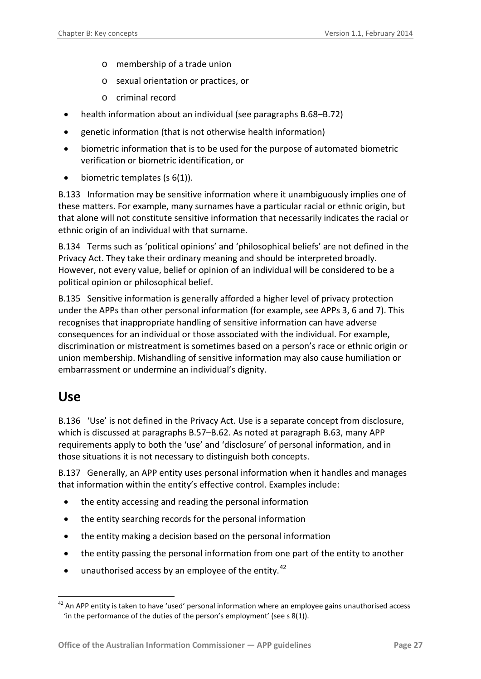- o membership of a trade union
- o sexual orientation or practices, or
- o criminal record
- health information about an individual (see paragraph[s B.68–](#page-14-3)[B.72\)](#page-15-2)
- genetic information (that is not otherwise health information)
- biometric information that is to be used for the purpose of automated biometric verification or biometric identification, or
- $\bullet$  biometric templates (s 6(1)).

B.133 Information may be sensitive information where it unambiguously implies one of these matters. For example, many surnames have a particular racial or ethnic origin, but that alone will not constitute sensitive information that necessarily indicates the racial or ethnic origin of an individual with that surname.

B.134 Terms such as 'political opinions' and 'philosophical beliefs' are not defined in the Privacy Act. They take their ordinary meaning and should be interpreted broadly. However, not every value, belief or opinion of an individual will be considered to be a political opinion or philosophical belief.

<span id="page-26-2"></span>B.135 Sensitive information is generally afforded a higher level of privacy protection under the APPs than other personal information (for example, see APPs 3, 6 and 7). This recognises that inappropriate handling of sensitive information can have adverse consequences for an individual or those associated with the individual. For example, discrimination or mistreatment is sometimes based on a person's race or ethnic origin or union membership. Mishandling of sensitive information may also cause humiliation or embarrassment or undermine an individual's dignity.

#### <span id="page-26-0"></span>**Use**

<span id="page-26-3"></span>1

<span id="page-26-1"></span>B.136 'Use' is not defined in the Privacy Act. Use is a separate concept from disclosure, which is discussed at paragraphs [B.57](#page-11-4)[–B.62.](#page-12-4) As noted at paragraph [B.63,](#page-12-5) many APP requirements apply to both the 'use' and 'disclosure' of personal information, and in those situations it is not necessary to distinguish both concepts.

B.137 Generally, an APP entity uses personal information when it handles and manages that information within the entity's effective control. Examples include:

- the entity accessing and reading the personal information
- the entity searching records for the personal information
- the entity making a decision based on the personal information
- the entity passing the personal information from one part of the entity to another
- unauthorised access by an employee of the entity.<sup>[42](#page-25-4)</sup>

 $42$  An APP entity is taken to have 'used' personal information where an employee gains unauthorised access 'in the performance of the duties of the person's employment' (see s 8(1)).